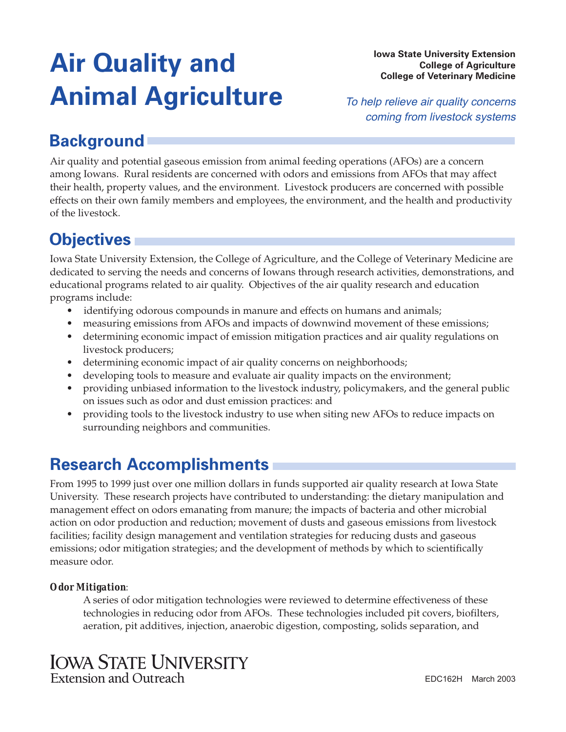# **Iowa State University Extension College of Agriculture Animal Agriculture**

**College of Veterinary Medicine** 

To help relieve air quality concerns coming from livestock systems

# **Background**

Air quality and potential gaseous emission from animal feeding operations (AFOs) are a concern among Iowans. Rural residents are concerned with odors and emissions from AFOs that may affect their health, property values, and the environment. Livestock producers are concerned with possible effects on their own family members and employees, the environment, and the health and productivity of the livestock.

# **Objectives**

Iowa State University Extension, the College of Agriculture, and the College of Veterinary Medicine are dedicated to serving the needs and concerns of Iowans through research activities, demonstrations, and educational programs related to air quality. Objectives of the air quality research and education programs include:

- identifying odorous compounds in manure and effects on humans and animals;
- measuring emissions from AFOs and impacts of downwind movement of these emissions;
- determining economic impact of emission mitigation practices and air quality regulations on livestock producers;
- determining economic impact of air quality concerns on neighborhoods;
- developing tools to measure and evaluate air quality impacts on the environment;
- providing unbiased information to the livestock industry, policymakers, and the general public on issues such as odor and dust emission practices: and
- providing tools to the livestock industry to use when siting new AFOs to reduce impacts on surrounding neighbors and communities.

# **Research Accomplishments**

From 1995 to 1999 just over one million dollars in funds supported air quality research at Iowa State University. These research projects have contributed to understanding: the dietary manipulation and management effect on odors emanating from manure; the impacts of bacteria and other microbial action on odor production and reduction; movement of dusts and gaseous emissions from livestock facilities; facility design management and ventilation strategies for reducing dusts and gaseous emissions; odor mitigation strategies; and the development of methods by which to scientifically measure odor.

### *Odor Mitigation*:

A series of odor mitigation technologies were reviewed to determine effectiveness of these technologies in reducing odor from AFOs. These technologies included pit covers, biofilters, aeration, pit additives, injection, anaerobic digestion, composting, solids separation, and

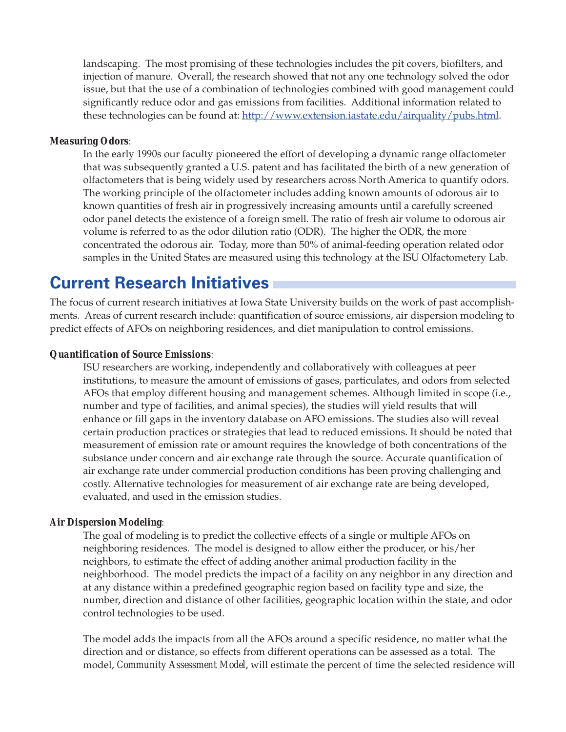landscaping. The most promising of these technologies includes the pit covers, biofilters, and injection of manure. Overall, the research showed that not any one technology solved the odor issue, but that the use of a combination of technologies combined with good management could significantly reduce odor and gas emissions from facilities. Additional information related to these technologies can be found at: [http://www.extension.iastate.edu/airquality/pubs.html.](https://store.extension.iastate.edu/)

#### *Measuring Odors*:

In the early 1990s our faculty pioneered the effort of developing a dynamic range olfactometer that was subsequently granted a U.S. patent and has facilitated the birth of a new generation of olfactometers that is being widely used by researchers across North America to quantify odors. The working principle of the olfactometer includes adding known amounts of odorous air to known quantities of fresh air in progressively increasing amounts until a carefully screened odor panel detects the existence of a foreign smell. The ratio of fresh air volume to odorous air volume is referred to as the odor dilution ratio (ODR). The higher the ODR, the more concentrated the odorous air. Today, more than 50% of animal-feeding operation related odor samples in the United States are measured using this technology at the ISU Olfactometery Lab.

### **Current Research Initiatives**

The focus of current research initiatives at Iowa State University builds on the work of past accomplishments. Areas of current research include: quantification of source emissions, air dispersion modeling to predict effects of AFOs on neighboring residences, and diet manipulation to control emissions.

#### *Quantification of Source Emissions*:

ISU researchers are working, independently and collaboratively with colleagues at peer institutions, to measure the amount of emissions of gases, particulates, and odors from selected AFOs that employ different housing and management schemes. Although limited in scope (i.e., number and type of facilities, and animal species), the studies will yield results that will enhance or fill gaps in the inventory database on AFO emissions. The studies also will reveal certain production practices or strategies that lead to reduced emissions. It should be noted that measurement of emission rate or amount requires the knowledge of both concentrations of the substance under concern and air exchange rate through the source. Accurate quantification of air exchange rate under commercial production conditions has been proving challenging and costly. Alternative technologies for measurement of air exchange rate are being developed, evaluated, and used in the emission studies.

#### *Air Dispersion Modeling*:

The goal of modeling is to predict the collective effects of a single or multiple AFOs on neighboring residences. The model is designed to allow either the producer, or his/her neighbors, to estimate the effect of adding another animal production facility in the neighborhood. The model predicts the impact of a facility on any neighbor in any direction and at any distance within a predefined geographic region based on facility type and size, the number, direction and distance of other facilities, geographic location within the state, and odor control technologies to be used.

The model adds the impacts from all the AFOs around a specific residence, no matter what the direction and or distance, so effects from different operations can be assessed as a total. The model, *Community Assessment Model*, will estimate the percent of time the selected residence will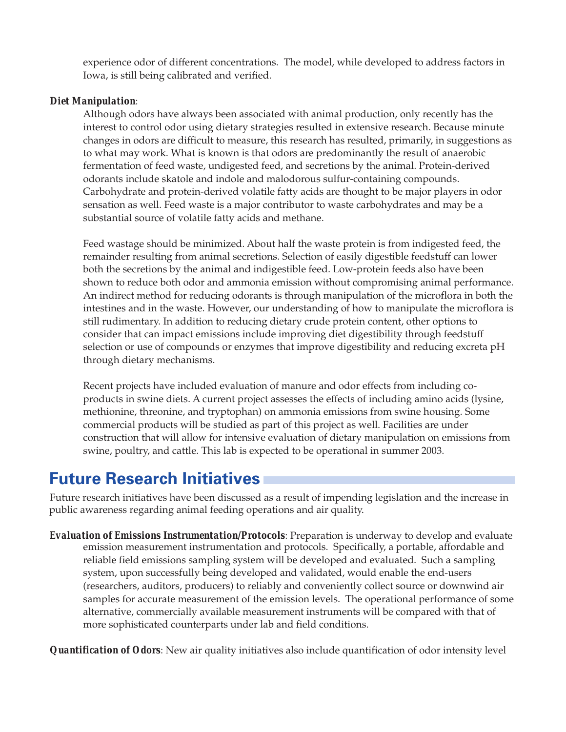experience odor of different concentrations. The model, while developed to address factors in Iowa, is still being calibrated and verified.

### *Diet Manipulation*:

Although odors have always been associated with animal production, only recently has the interest to control odor using dietary strategies resulted in extensive research. Because minute changes in odors are difficult to measure, this research has resulted, primarily, in suggestions as to what may work. What is known is that odors are predominantly the result of anaerobic fermentation of feed waste, undigested feed, and secretions by the animal. Protein-derived odorants include skatole and indole and malodorous sulfur-containing compounds. Carbohydrate and protein-derived volatile fatty acids are thought to be major players in odor sensation as well. Feed waste is a major contributor to waste carbohydrates and may be a substantial source of volatile fatty acids and methane.

Feed wastage should be minimized. About half the waste protein is from indigested feed, the remainder resulting from animal secretions. Selection of easily digestible feedstuff can lower both the secretions by the animal and indigestible feed. Low-protein feeds also have been shown to reduce both odor and ammonia emission without compromising animal performance. An indirect method for reducing odorants is through manipulation of the microflora in both the intestines and in the waste. However, our understanding of how to manipulate the microflora is still rudimentary. In addition to reducing dietary crude protein content, other options to consider that can impact emissions include improving diet digestibility through feedstuff selection or use of compounds or enzymes that improve digestibility and reducing excreta pH through dietary mechanisms.

Recent projects have included evaluation of manure and odor effects from including coproducts in swine diets. A current project assesses the effects of including amino acids (lysine, methionine, threonine, and tryptophan) on ammonia emissions from swine housing. Some commercial products will be studied as part of this project as well. Facilities are under construction that will allow for intensive evaluation of dietary manipulation on emissions from swine, poultry, and cattle. This lab is expected to be operational in summer 2003.

### **Future Research Initiatives**

Future research initiatives have been discussed as a result of impending legislation and the increase in public awareness regarding animal feeding operations and air quality.

*Evaluation of Emissions Instrumentation/Protocols*: Preparation is underway to develop and evaluate emission measurement instrumentation and protocols. Specifically, a portable, affordable and reliable field emissions sampling system will be developed and evaluated. Such a sampling system, upon successfully being developed and validated, would enable the end-users (researchers, auditors, producers) to reliably and conveniently collect source or downwind air samples for accurate measurement of the emission levels. The operational performance of some alternative, commercially available measurement instruments will be compared with that of more sophisticated counterparts under lab and field conditions.

*Quantification of Odors*: New air quality initiatives also include quantification of odor intensity level